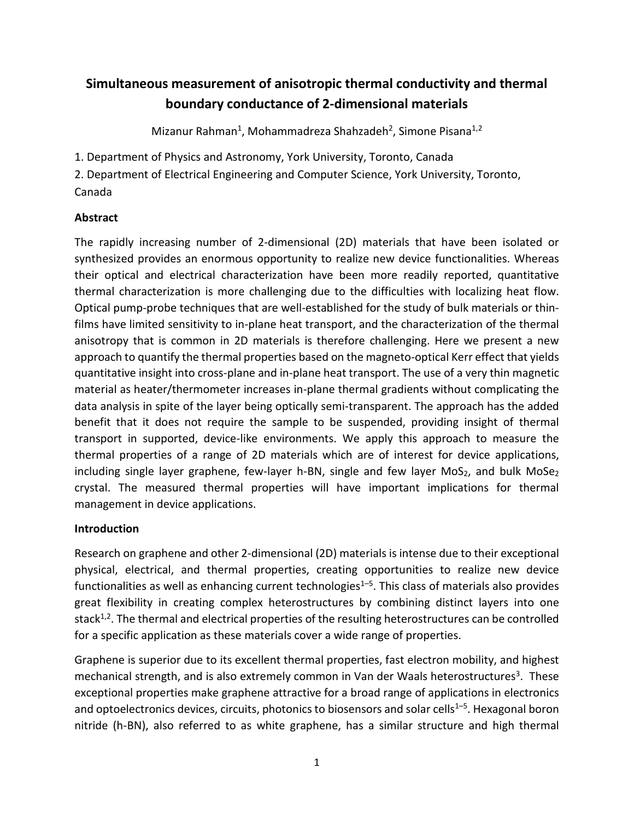# **Simultaneous measurement of anisotropic thermal conductivity and thermal boundary conductance of 2-dimensional materials**

Mizanur Rahman<sup>1</sup>, Mohammadreza Shahzadeh<sup>2</sup>, Simone Pisana<sup>1,2</sup>

1. Department of Physics and Astronomy, York University, Toronto, Canada

2. Department of Electrical Engineering and Computer Science, York University, Toronto, Canada

# **Abstract**

The rapidly increasing number of 2-dimensional (2D) materials that have been isolated or synthesized provides an enormous opportunity to realize new device functionalities. Whereas their optical and electrical characterization have been more readily reported, quantitative thermal characterization is more challenging due to the difficulties with localizing heat flow. Optical pump-probe techniques that are well-established for the study of bulk materials or thinfilms have limited sensitivity to in-plane heat transport, and the characterization of the thermal anisotropy that is common in 2D materials is therefore challenging. Here we present a new approach to quantify the thermal properties based on the magneto-optical Kerr effect that yields quantitative insight into cross-plane and in-plane heat transport. The use of a very thin magnetic material as heater/thermometer increases in-plane thermal gradients without complicating the data analysis in spite of the layer being optically semi-transparent. The approach has the added benefit that it does not require the sample to be suspended, providing insight of thermal transport in supported, device-like environments. We apply this approach to measure the thermal properties of a range of 2D materials which are of interest for device applications, including single layer graphene, few-layer h-BN, single and few layer  $MoS<sub>2</sub>$ , and bulk  $MoSe<sub>2</sub>$ crystal. The measured thermal properties will have important implications for thermal management in device applications.

# **Introduction**

Research on graphene and other 2-dimensional (2D) materials is intense due to their exceptional physical, electrical, and thermal properties, creating opportunities to realize new device functionalities as well as enhancing current technologies $1-5$ . This class of materials also provides great flexibility in creating complex heterostructures by combining distinct layers into one stack $1/2$ . The thermal and electrical properties of the resulting heterostructures can be controlled for a specific application as these materials cover a wide range of properties.

Graphene is superior due to its excellent thermal properties, fast electron mobility, and highest mechanical strength, and is also extremely common in Van der Waals heterostructures<sup>3</sup>. These exceptional properties make graphene attractive for a broad range of applications in electronics and optoelectronics devices, circuits, photonics to biosensors and solar cells<sup>1-5</sup>. Hexagonal boron nitride (h-BN), also referred to as white graphene, has a similar structure and high thermal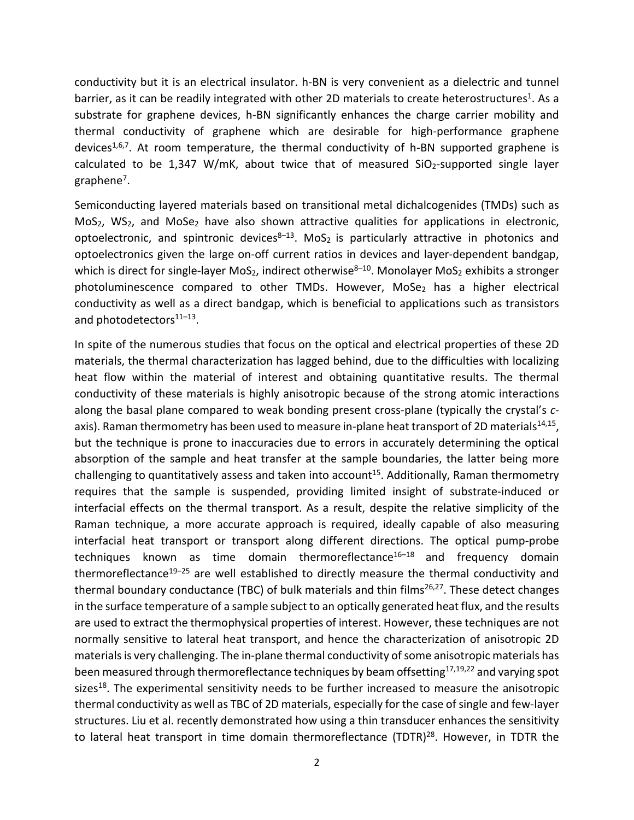conductivity but it is an electrical insulator. h-BN is very convenient as a dielectric and tunnel barrier, as it can be readily integrated with other 2D materials to create heterostructures<sup>1</sup>. As a substrate for graphene devices, h-BN significantly enhances the charge carrier mobility and thermal conductivity of graphene which are desirable for high-performance graphene devices<sup>1,6,7</sup>. At room temperature, the thermal conductivity of h-BN supported graphene is calculated to be 1,347 W/mK, about twice that of measured  $SiO<sub>2</sub>$ -supported single layer graphene7.

Semiconducting layered materials based on transitional metal dichalcogenides (TMDs) such as MoS<sub>2</sub>, WS<sub>2</sub>, and MoSe<sub>2</sub> have also shown attractive qualities for applications in electronic, optoelectronic, and spintronic devices $8-13$ . MoS<sub>2</sub> is particularly attractive in photonics and optoelectronics given the large on-off current ratios in devices and layer-dependent bandgap, which is direct for single-layer MoS<sub>2</sub>, indirect otherwise<sup>8–10</sup>. Monolayer MoS<sub>2</sub> exhibits a stronger photoluminescence compared to other TMDs. However, MoSe<sub>2</sub> has a higher electrical conductivity as well as a direct bandgap, which is beneficial to applications such as transistors and photodetectors<sup>11-13</sup>.

In spite of the numerous studies that focus on the optical and electrical properties of these 2D materials, the thermal characterization has lagged behind, due to the difficulties with localizing heat flow within the material of interest and obtaining quantitative results. The thermal conductivity of these materials is highly anisotropic because of the strong atomic interactions along the basal plane compared to weak bonding present cross-plane (typically the crystal's *c*axis). Raman thermometry has been used to measure in-plane heat transport of 2D materials $^{14,15}$ , but the technique is prone to inaccuracies due to errors in accurately determining the optical absorption of the sample and heat transfer at the sample boundaries, the latter being more challenging to quantitatively assess and taken into account<sup>15</sup>. Additionally, Raman thermometry requires that the sample is suspended, providing limited insight of substrate-induced or interfacial effects on the thermal transport. As a result, despite the relative simplicity of the Raman technique, a more accurate approach is required, ideally capable of also measuring interfacial heat transport or transport along different directions. The optical pump-probe techniques known as time domain thermoreflectance $16-18$  and frequency domain thermoreflectance<sup>19–25</sup> are well established to directly measure the thermal conductivity and thermal boundary conductance (TBC) of bulk materials and thin films<sup>26,27</sup>. These detect changes in the surface temperature of a sample subject to an optically generated heat flux, and the results are used to extract the thermophysical properties of interest. However, these techniques are not normally sensitive to lateral heat transport, and hence the characterization of anisotropic 2D materials is very challenging. The in-plane thermal conductivity of some anisotropic materials has been measured through thermoreflectance techniques by beam offsetting<sup>17,19,22</sup> and varying spot sizes<sup>18</sup>. The experimental sensitivity needs to be further increased to measure the anisotropic thermal conductivity as well as TBC of 2D materials, especially for the case of single and few-layer structures. Liu et al. recently demonstrated how using a thin transducer enhances the sensitivity to lateral heat transport in time domain thermoreflectance (TDTR)<sup>28</sup>. However, in TDTR the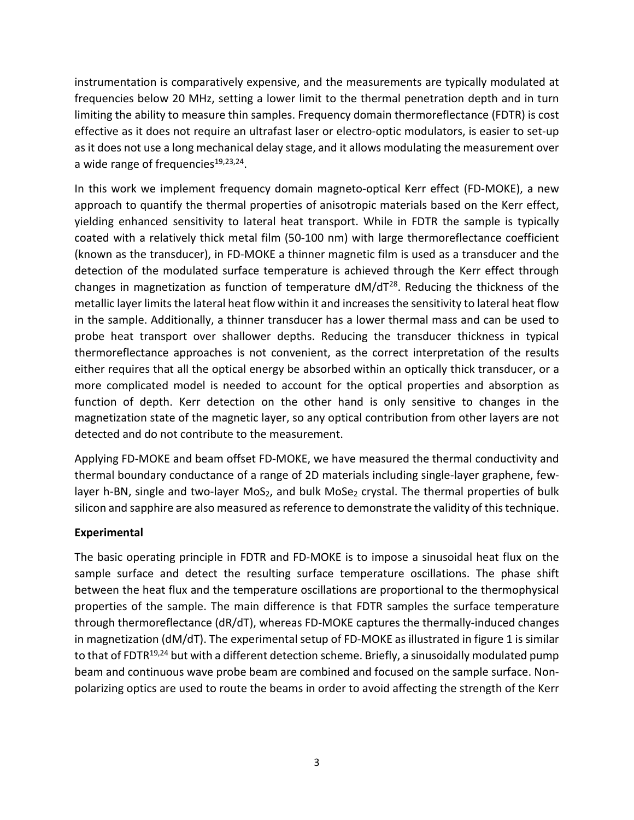instrumentation is comparatively expensive, and the measurements are typically modulated at frequencies below 20 MHz, setting a lower limit to the thermal penetration depth and in turn limiting the ability to measure thin samples. Frequency domain thermoreflectance (FDTR) is cost effective as it does not require an ultrafast laser or electro-optic modulators, is easier to set-up as it does not use a long mechanical delay stage, and it allows modulating the measurement over a wide range of frequencies $19,23,24$ .

In this work we implement frequency domain magneto-optical Kerr effect (FD-MOKE), a new approach to quantify the thermal properties of anisotropic materials based on the Kerr effect, yielding enhanced sensitivity to lateral heat transport. While in FDTR the sample is typically coated with a relatively thick metal film (50-100 nm) with large thermoreflectance coefficient (known as the transducer), in FD-MOKE a thinner magnetic film is used as a transducer and the detection of the modulated surface temperature is achieved through the Kerr effect through changes in magnetization as function of temperature  $dM/dT^{28}$ . Reducing the thickness of the metallic layer limits the lateral heat flow within it and increases the sensitivity to lateral heat flow in the sample. Additionally, a thinner transducer has a lower thermal mass and can be used to probe heat transport over shallower depths. Reducing the transducer thickness in typical thermoreflectance approaches is not convenient, as the correct interpretation of the results either requires that all the optical energy be absorbed within an optically thick transducer, or a more complicated model is needed to account for the optical properties and absorption as function of depth. Kerr detection on the other hand is only sensitive to changes in the magnetization state of the magnetic layer, so any optical contribution from other layers are not detected and do not contribute to the measurement.

Applying FD-MOKE and beam offset FD-MOKE, we have measured the thermal conductivity and thermal boundary conductance of a range of 2D materials including single-layer graphene, fewlayer h-BN, single and two-layer MoS<sub>2</sub>, and bulk MoSe<sub>2</sub> crystal. The thermal properties of bulk silicon and sapphire are also measured as reference to demonstrate the validity of this technique.

# **Experimental**

The basic operating principle in FDTR and FD-MOKE is to impose a sinusoidal heat flux on the sample surface and detect the resulting surface temperature oscillations. The phase shift between the heat flux and the temperature oscillations are proportional to the thermophysical properties of the sample. The main difference is that FDTR samples the surface temperature through thermoreflectance (dR/dT), whereas FD-MOKE captures the thermally-induced changes in magnetization (dM/dT). The experimental setup of FD-MOKE as illustrated in figure 1 is similar to that of FDTR<sup>19,24</sup> but with a different detection scheme. Briefly, a sinusoidally modulated pump beam and continuous wave probe beam are combined and focused on the sample surface. Nonpolarizing optics are used to route the beams in order to avoid affecting the strength of the Kerr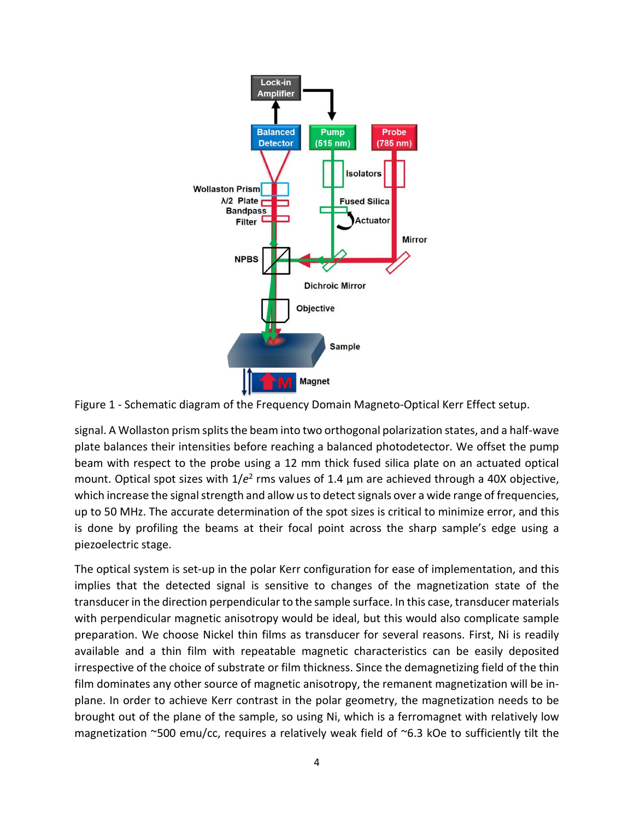

Figure 1 - Schematic diagram of the Frequency Domain Magneto-Optical Kerr Effect setup.

signal. A Wollaston prism splits the beam into two orthogonal polarization states, and a half-wave plate balances their intensities before reaching a balanced photodetector. We offset the pump beam with respect to the probe using a 12 mm thick fused silica plate on an actuated optical mount. Optical spot sizes with 1/*e*<sup>2</sup> rms values of 1.4 µm are achieved through a 40X objective, which increase the signal strength and allow us to detect signals over a wide range of frequencies, up to 50 MHz. The accurate determination of the spot sizes is critical to minimize error, and this is done by profiling the beams at their focal point across the sharp sample's edge using a piezoelectric stage.

The optical system is set-up in the polar Kerr configuration for ease of implementation, and this implies that the detected signal is sensitive to changes of the magnetization state of the transducer in the direction perpendicular to the sample surface. In this case, transducer materials with perpendicular magnetic anisotropy would be ideal, but this would also complicate sample preparation. We choose Nickel thin films as transducer for several reasons. First, Ni is readily available and a thin film with repeatable magnetic characteristics can be easily deposited irrespective of the choice of substrate or film thickness. Since the demagnetizing field of the thin film dominates any other source of magnetic anisotropy, the remanent magnetization will be inplane. In order to achieve Kerr contrast in the polar geometry, the magnetization needs to be brought out of the plane of the sample, so using Ni, which is a ferromagnet with relatively low magnetization  $\sim$ 500 emu/cc, requires a relatively weak field of  $\sim$ 6.3 kOe to sufficiently tilt the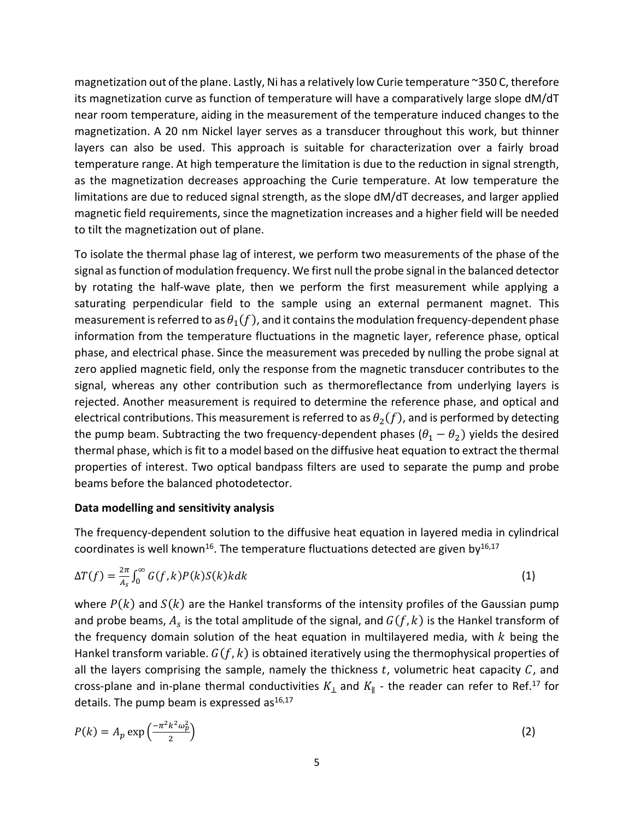magnetization out of the plane. Lastly, Ni has a relatively low Curie temperature ~350 C, therefore its magnetization curve as function of temperature will have a comparatively large slope dM/dT near room temperature, aiding in the measurement of the temperature induced changes to the magnetization. A 20 nm Nickel layer serves as a transducer throughout this work, but thinner layers can also be used. This approach is suitable for characterization over a fairly broad temperature range. At high temperature the limitation is due to the reduction in signal strength, as the magnetization decreases approaching the Curie temperature. At low temperature the limitations are due to reduced signal strength, as the slope dM/dT decreases, and larger applied magnetic field requirements, since the magnetization increases and a higher field will be needed to tilt the magnetization out of plane.

To isolate the thermal phase lag of interest, we perform two measurements of the phase of the signal as function of modulation frequency. We first null the probe signal in the balanced detector by rotating the half-wave plate, then we perform the first measurement while applying a saturating perpendicular field to the sample using an external permanent magnet. This measurement is referred to as  $\theta_1(f)$ , and it contains the modulation frequency-dependent phase information from the temperature fluctuations in the magnetic layer, reference phase, optical phase, and electrical phase. Since the measurement was preceded by nulling the probe signal at zero applied magnetic field, only the response from the magnetic transducer contributes to the signal, whereas any other contribution such as thermoreflectance from underlying layers is rejected. Another measurement is required to determine the reference phase, and optical and electrical contributions. This measurement is referred to as  $\theta_2(f)$ , and is performed by detecting the pump beam. Subtracting the two frequency-dependent phases ( $\theta_1 - \theta_2$ ) yields the desired thermal phase, which is fit to a model based on the diffusive heat equation to extract the thermal properties of interest. Two optical bandpass filters are used to separate the pump and probe beams before the balanced photodetector.

#### **Data modelling and sensitivity analysis**

The frequency-dependent solution to the diffusive heat equation in layered media in cylindrical coordinates is well known<sup>16</sup>. The temperature fluctuations detected are given by<sup>16,17</sup>

$$
\Delta T(f) = \frac{2\pi}{A_s} \int_0^\infty G(f, k) P(k) S(k) k dk \tag{1}
$$

where  $P(k)$  and  $S(k)$  are the Hankel transforms of the intensity profiles of the Gaussian pump and probe beams,  $A_s$  is the total amplitude of the signal, and  $G(f, k)$  is the Hankel transform of the frequency domain solution of the heat equation in multilayered media, with  $k$  being the Hankel transform variable.  $G(f, k)$  is obtained iteratively using the thermophysical properties of all the layers comprising the sample, namely the thickness  $t$ , volumetric heat capacity  $C$ , and cross-plane and in-plane thermal conductivities  $K_{\perp}$  and  $K_{\parallel}$  - the reader can refer to Ref.<sup>17</sup> for details. The pump beam is expressed  $as^{16,17}$ 

$$
P(k) = A_p \exp\left(\frac{-\pi^2 k^2 \omega_p^2}{2}\right) \tag{2}
$$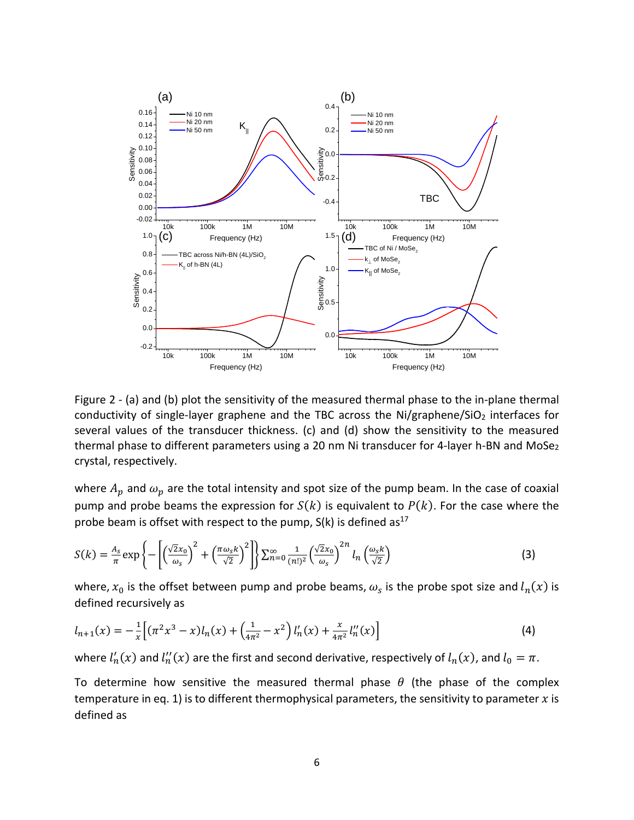

Figure 2 - (a) and (b) plot the sensitivity of the measured thermal phase to the in-plane thermal conductivity of single-layer graphene and the TBC across the Ni/graphene/SiO<sub>2</sub> interfaces for several values of the transducer thickness. (c) and (d) show the sensitivity to the measured thermal phase to different parameters using a 20 nm Ni transducer for 4-layer h-BN and MoSe<sub>2</sub> crystal, respectively.

where  $A_p$  and  $\omega_p$  are the total intensity and spot size of the pump beam. In the case of coaxial pump and probe beams the expression for  $S(k)$  is equivalent to  $P(k)$ . For the case where the probe beam is offset with respect to the pump,  $S(k)$  is defined as<sup>17</sup>

$$
S(k) = \frac{A_s}{\pi} \exp\left\{-\left[\left(\frac{\sqrt{2}x_0}{\omega_s}\right)^2 + \left(\frac{\pi \omega_s k}{\sqrt{2}}\right)^2\right]\right\} \sum_{n=0}^{\infty} \frac{1}{(n!)^2} \left(\frac{\sqrt{2}x_0}{\omega_s}\right)^{2n} l_n\left(\frac{\omega_s k}{\sqrt{2}}\right)
$$
(3)

where,  $x_0$  is the offset between pump and probe beams,  $\omega_s$  is the probe spot size and  $l_n(x)$  is defined recursively as

$$
l_{n+1}(x) = -\frac{1}{x} \left[ (\pi^2 x^3 - x) l_n(x) + \left( \frac{1}{4\pi^2} - x^2 \right) l'_n(x) + \frac{x}{4\pi^2} l''_n(x) \right]
$$
(4)

where  $l'_n(x)$  and  $l''_n(x)$  are the first and second derivative, respectively of  $l_n(x)$ , and  $l_0 = \pi$ .

To determine how sensitive the measured thermal phase  $\theta$  (the phase of the complex temperature in eq. 1) is to different thermophysical parameters, the sensitivity to parameter  $x$  is defined as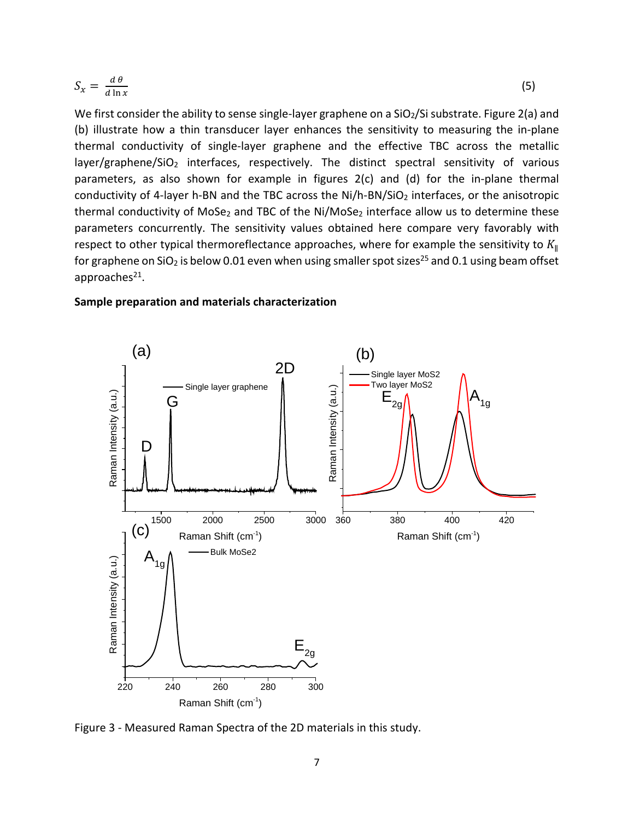$$
S_x = \frac{d\theta}{d\ln x} \tag{5}
$$

We first consider the ability to sense single-layer graphene on a  $SiO<sub>2</sub>/Si$  substrate. Figure 2(a) and (b) illustrate how a thin transducer layer enhances the sensitivity to measuring the in-plane thermal conductivity of single-layer graphene and the effective TBC across the metallic layer/graphene/SiO<sub>2</sub> interfaces, respectively. The distinct spectral sensitivity of various parameters, as also shown for example in figures 2(c) and (d) for the in-plane thermal conductivity of 4-layer h-BN and the TBC across the  $Ni/h-BN/SiO<sub>2</sub>$  interfaces, or the anisotropic thermal conductivity of MoSe<sub>2</sub> and TBC of the Ni/MoSe<sub>2</sub> interface allow us to determine these parameters concurrently. The sensitivity values obtained here compare very favorably with respect to other typical thermoreflectance approaches, where for example the sensitivity to  $K_{\parallel}$ for graphene on  $SiO<sub>2</sub>$  is below 0.01 even when using smaller spot sizes<sup>25</sup> and 0.1 using beam offset approaches $21$ .

#### **Sample preparation and materials characterization**



Figure 3 - Measured Raman Spectra of the 2D materials in this study.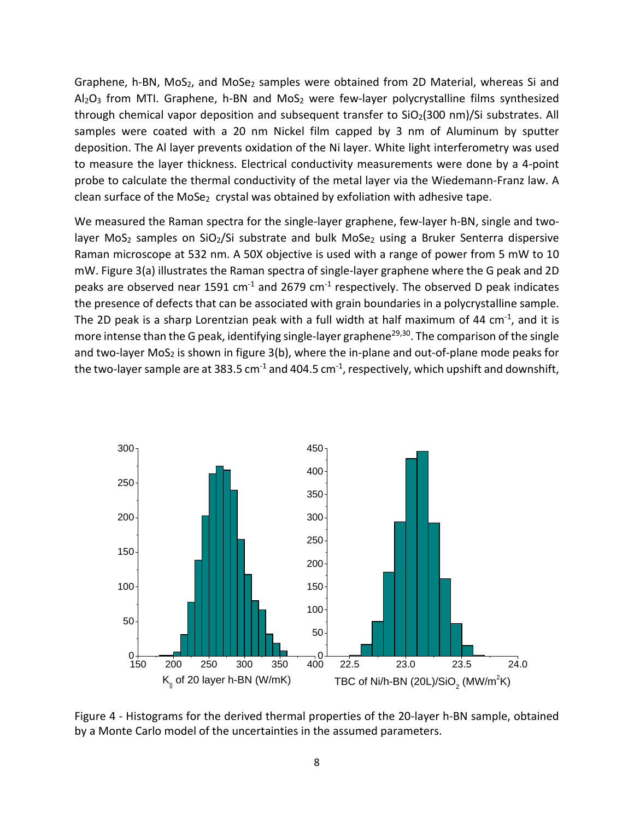Graphene, h-BN,  $MoS<sub>2</sub>$ , and  $MoSe<sub>2</sub>$  samples were obtained from 2D Material, whereas Si and  $Al_2O_3$  from MTI. Graphene, h-BN and MoS<sub>2</sub> were few-layer polycrystalline films synthesized through chemical vapor deposition and subsequent transfer to  $SiO<sub>2</sub>(300 nm)/Si$  substrates. All samples were coated with a 20 nm Nickel film capped by 3 nm of Aluminum by sputter deposition. The Al layer prevents oxidation of the Ni layer. White light interferometry was used to measure the layer thickness. Electrical conductivity measurements were done by a 4-point probe to calculate the thermal conductivity of the metal layer via the Wiedemann-Franz law. A clean surface of the MoSe<sub>2</sub> crystal was obtained by exfoliation with adhesive tape.

We measured the Raman spectra for the single-layer graphene, few-layer h-BN, single and twolayer MoS<sub>2</sub> samples on SiO<sub>2</sub>/Si substrate and bulk MoSe<sub>2</sub> using a Bruker Senterra dispersive Raman microscope at 532 nm. A 50X objective is used with a range of power from 5 mW to 10 mW. Figure 3(a) illustrates the Raman spectra of single-layer graphene where the G peak and 2D peaks are observed near 1591  $cm^{-1}$  and 2679  $cm^{-1}$  respectively. The observed D peak indicates the presence of defects that can be associated with grain boundaries in a polycrystalline sample. The 2D peak is a sharp Lorentzian peak with a full width at half maximum of 44  $cm^{-1}$ , and it is more intense than the G peak, identifying single-layer graphene<sup>29,30</sup>. The comparison of the single and two-layer MoS<sub>2</sub> is shown in figure  $3(b)$ , where the in-plane and out-of-plane mode peaks for the two-layer sample are at 383.5  $cm^{-1}$  and 404.5  $cm^{-1}$ , respectively, which upshift and downshift,



Figure 4 - Histograms for the derived thermal properties of the 20-layer h-BN sample, obtained by a Monte Carlo model of the uncertainties in the assumed parameters.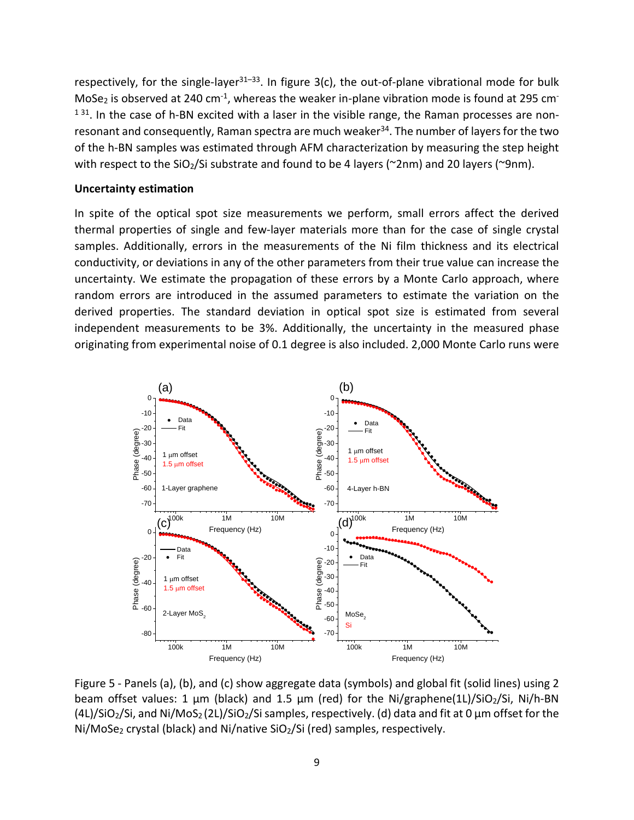respectively, for the single-layer<sup>31-33</sup>. In figure  $3(c)$ , the out-of-plane vibrational mode for bulk MoSe<sub>2</sub> is observed at 240 cm<sup>-1</sup>, whereas the weaker in-plane vibration mode is found at 295 cm<sup>-</sup>  $131$ . In the case of h-BN excited with a laser in the visible range, the Raman processes are nonresonant and consequently, Raman spectra are much weaker<sup>34</sup>. The number of layers for the two of the h-BN samples was estimated through AFM characterization by measuring the step height with respect to the SiO<sub>2</sub>/Si substrate and found to be 4 layers ( $\gamma$ 2nm) and 20 layers ( $\gamma$ 9nm).

#### **Uncertainty estimation**

In spite of the optical spot size measurements we perform, small errors affect the derived thermal properties of single and few-layer materials more than for the case of single crystal samples. Additionally, errors in the measurements of the Ni film thickness and its electrical conductivity, or deviations in any of the other parameters from their true value can increase the uncertainty. We estimate the propagation of these errors by a Monte Carlo approach, where random errors are introduced in the assumed parameters to estimate the variation on the derived properties. The standard deviation in optical spot size is estimated from several independent measurements to be 3%. Additionally, the uncertainty in the measured phase originating from experimental noise of 0.1 degree is also included. 2,000 Monte Carlo runs were



Figure 5 - Panels (a), (b), and (c) show aggregate data (symbols) and global fit (solid lines) using 2 beam offset values: 1 μm (black) and 1.5 μm (red) for the Ni/graphene(1L)/SiO2/Si, Ni/h-BN (4L)/SiO<sub>2</sub>/Si, and Ni/MoS<sub>2</sub> (2L)/SiO<sub>2</sub>/Si samples, respectively. (d) data and fit at 0  $\mu$ m offset for the Ni/MoSe<sub>2</sub> crystal (black) and Ni/native SiO<sub>2</sub>/Si (red) samples, respectively.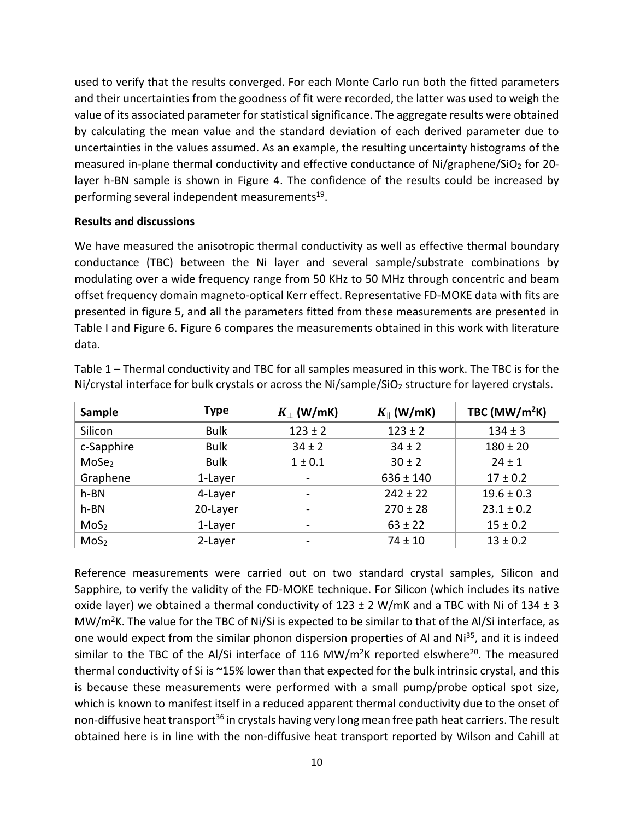used to verify that the results converged. For each Monte Carlo run both the fitted parameters and their uncertainties from the goodness of fit were recorded, the latter was used to weigh the value of its associated parameter for statistical significance. The aggregate results were obtained by calculating the mean value and the standard deviation of each derived parameter due to uncertainties in the values assumed. As an example, the resulting uncertainty histograms of the measured in-plane thermal conductivity and effective conductance of Ni/graphene/SiO<sub>2</sub> for 20layer h-BN sample is shown in Figure 4. The confidence of the results could be increased by performing several independent measurements<sup>19</sup>.

# **Results and discussions**

We have measured the anisotropic thermal conductivity as well as effective thermal boundary conductance (TBC) between the Ni layer and several sample/substrate combinations by modulating over a wide frequency range from 50 KHz to 50 MHz through concentric and beam offset frequency domain magneto-optical Kerr effect. Representative FD-MOKE data with fits are presented in figure 5, and all the parameters fitted from these measurements are presented in Table I and Figure 6. Figure 6 compares the measurements obtained in this work with literature data.

| Sample            | <b>Type</b> | $K_+$ (W/mK) | $K_{\parallel}$ (W/mK) | TBC ( $MW/m^2K$ ) |
|-------------------|-------------|--------------|------------------------|-------------------|
| Silicon           | <b>Bulk</b> | $123 \pm 2$  | $123 \pm 2$            | $134 \pm 3$       |
| c-Sapphire        | <b>Bulk</b> | $34 \pm 2$   | $34 \pm 2$             | $180 \pm 20$      |
| MoSe <sub>2</sub> | <b>Bulk</b> | 1 ± 0.1      | $30 \pm 2$             | $24 \pm 1$        |
| Graphene          | 1-Layer     | -            | $636 \pm 140$          | $17 \pm 0.2$      |
| h-BN              | 4-Layer     |              | $242 \pm 22$           | $19.6 \pm 0.3$    |
| h-BN              | 20-Layer    |              | $270 \pm 28$           | $23.1 \pm 0.2$    |
| MoS <sub>2</sub>  | 1-Layer     |              | $63 \pm 22$            | $15 \pm 0.2$      |
| MoS <sub>2</sub>  | 2-Layer     |              | $74 \pm 10$            | $13 \pm 0.2$      |

Table 1 – Thermal conductivity and TBC for all samples measured in this work. The TBC is for the Ni/crystal interface for bulk crystals or across the Ni/sample/SiO<sub>2</sub> structure for layered crystals.

Reference measurements were carried out on two standard crystal samples, Silicon and Sapphire, to verify the validity of the FD-MOKE technique. For Silicon (which includes its native oxide layer) we obtained a thermal conductivity of  $123 \pm 2$  W/mK and a TBC with Ni of  $134 \pm 3$ MW/ $m^2$ K. The value for the TBC of Ni/Si is expected to be similar to that of the Al/Si interface, as one would expect from the similar phonon dispersion properties of AI and Ni<sup>35</sup>, and it is indeed similar to the TBC of the Al/Si interface of 116 MW/m<sup>2</sup>K reported elswhere<sup>20</sup>. The measured thermal conductivity of Si is ~15% lower than that expected for the bulk intrinsic crystal, and this is because these measurements were performed with a small pump/probe optical spot size, which is known to manifest itself in a reduced apparent thermal conductivity due to the onset of non-diffusive heat transport<sup>36</sup> in crystals having very long mean free path heat carriers. The result obtained here is in line with the non-diffusive heat transport reported by Wilson and Cahill at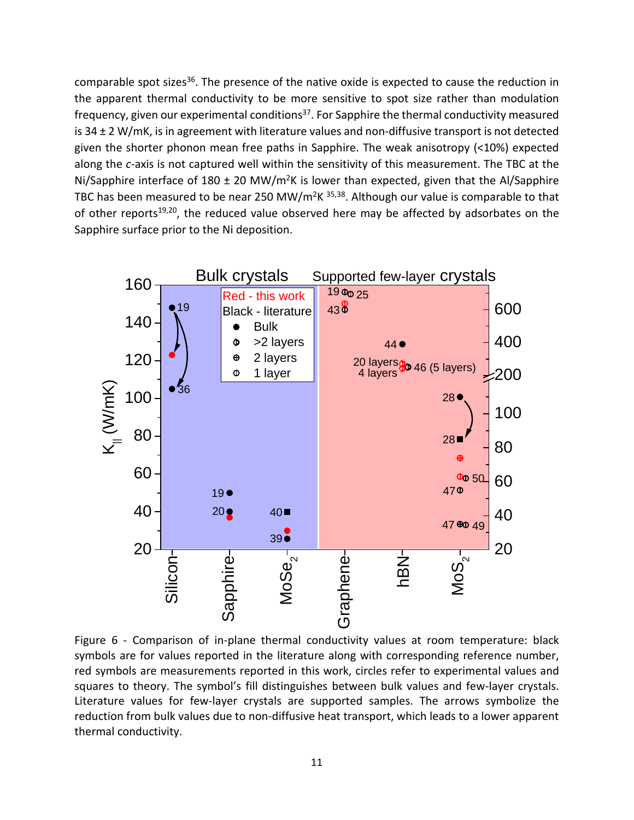comparable spot sizes<sup>36</sup>. The presence of the native oxide is expected to cause the reduction in the apparent thermal conductivity to be more sensitive to spot size rather than modulation frequency, given our experimental conditions<sup>37</sup>. For Sapphire the thermal conductivity measured is 34 ± 2 W/mK, is in agreement with literature values and non-diffusive transport is not detected given the shorter phonon mean free paths in Sapphire. The weak anisotropy (<10%) expected along the *c-*axis is not captured well within the sensitivity of this measurement. The TBC at the Ni/Sapphire interface of 180  $\pm$  20 MW/m<sup>2</sup>K is lower than expected, given that the Al/Sapphire TBC has been measured to be near 250 MW/m<sup>2</sup>K <sup>35,38</sup>. Although our value is comparable to that of other reports $19,20$ , the reduced value observed here may be affected by adsorbates on the Sapphire surface prior to the Ni deposition.



Figure 6 - Comparison of in-plane thermal conductivity values at room temperature: black symbols are for values reported in the literature along with corresponding reference number, red symbols are measurements reported in this work, circles refer to experimental values and squares to theory. The symbol's fill distinguishes between bulk values and few-layer crystals. Literature values for few-layer crystals are supported samples. The arrows symbolize the reduction from bulk values due to non-diffusive heat transport, which leads to a lower apparent thermal conductivity.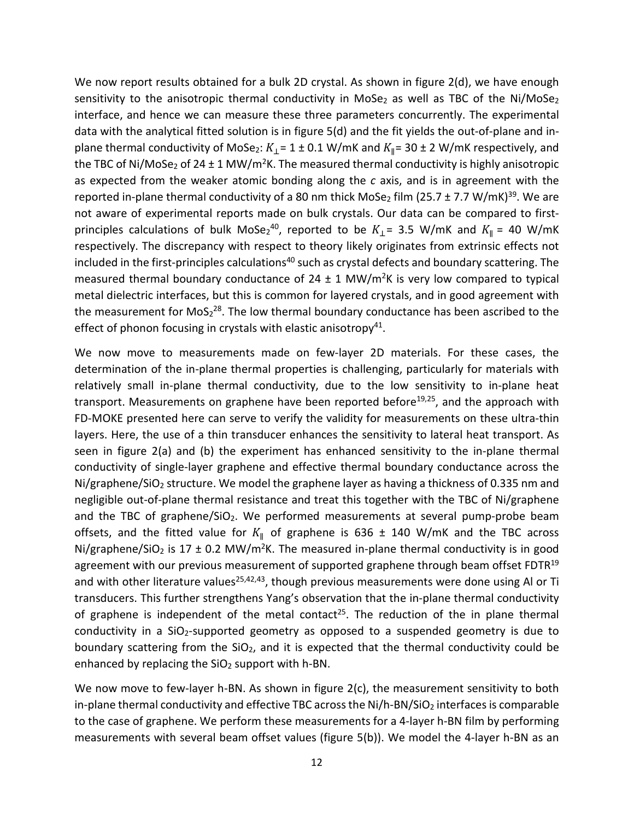We now report results obtained for a bulk 2D crystal. As shown in figure 2(d), we have enough sensitivity to the anisotropic thermal conductivity in MoSe<sub>2</sub> as well as TBC of the Ni/MoSe<sub>2</sub> interface, and hence we can measure these three parameters concurrently. The experimental data with the analytical fitted solution is in figure 5(d) and the fit yields the out-of-plane and inplane thermal conductivity of MoSe<sub>2</sub>:  $K_{\perp}$  = 1 ± 0.1 W/mK and  $K_{\parallel}$  = 30 ± 2 W/mK respectively, and the TBC of Ni/MoSe<sub>2</sub> of 24 ± 1 MW/m<sup>2</sup>K. The measured thermal conductivity is highly anisotropic as expected from the weaker atomic bonding along the *c* axis, and is in agreement with the reported in-plane thermal conductivity of a 80 nm thick MoSe<sub>2</sub> film (25.7 ± 7.7 W/mK)<sup>39</sup>. We are not aware of experimental reports made on bulk crystals. Our data can be compared to firstprinciples calculations of bulk MoSe<sub>2</sub><sup>40</sup>, reported to be  $K_{\perp}$  = 3.5 W/mK and  $K_{\parallel}$  = 40 W/mK respectively. The discrepancy with respect to theory likely originates from extrinsic effects not included in the first-principles calculations<sup>40</sup> such as crystal defects and boundary scattering. The measured thermal boundary conductance of 24  $\pm$  1 MW/m<sup>2</sup>K is very low compared to typical metal dielectric interfaces, but this is common for layered crystals, and in good agreement with the measurement for  $MoS_2^{28}$ . The low thermal boundary conductance has been ascribed to the effect of phonon focusing in crystals with elastic anisotropy<sup>41</sup>.

We now move to measurements made on few-layer 2D materials. For these cases, the determination of the in-plane thermal properties is challenging, particularly for materials with relatively small in-plane thermal conductivity, due to the low sensitivity to in-plane heat transport. Measurements on graphene have been reported before<sup>19,25</sup>, and the approach with FD-MOKE presented here can serve to verify the validity for measurements on these ultra-thin layers. Here, the use of a thin transducer enhances the sensitivity to lateral heat transport. As seen in figure 2(a) and (b) the experiment has enhanced sensitivity to the in-plane thermal conductivity of single-layer graphene and effective thermal boundary conductance across the Ni/graphene/SiO<sub>2</sub> structure. We model the graphene layer as having a thickness of 0.335 nm and negligible out-of-plane thermal resistance and treat this together with the TBC of Ni/graphene and the TBC of graphene/SiO<sub>2</sub>. We performed measurements at several pump-probe beam offsets, and the fitted value for  $K_{\parallel}$  of graphene is 636 ± 140 W/mK and the TBC across Ni/graphene/SiO<sub>2</sub> is 17  $\pm$  0.2 MW/m<sup>2</sup>K. The measured in-plane thermal conductivity is in good agreement with our previous measurement of supported graphene through beam offset FDTR<sup>19</sup> and with other literature values<sup>25,42,43</sup>, though previous measurements were done using Al or Ti transducers. This further strengthens Yang's observation that the in-plane thermal conductivity of graphene is independent of the metal contact<sup>25</sup>. The reduction of the in plane thermal conductivity in a SiO<sub>2</sub>-supported geometry as opposed to a suspended geometry is due to boundary scattering from the  $SiO<sub>2</sub>$ , and it is expected that the thermal conductivity could be enhanced by replacing the  $SiO<sub>2</sub>$  support with h-BN.

We now move to few-layer h-BN. As shown in figure 2(c), the measurement sensitivity to both in-plane thermal conductivity and effective TBC across the  $Ni/h-BN/SiO<sub>2</sub>$  interfaces is comparable to the case of graphene. We perform these measurements for a 4-layer h-BN film by performing measurements with several beam offset values (figure 5(b)). We model the 4-layer h-BN as an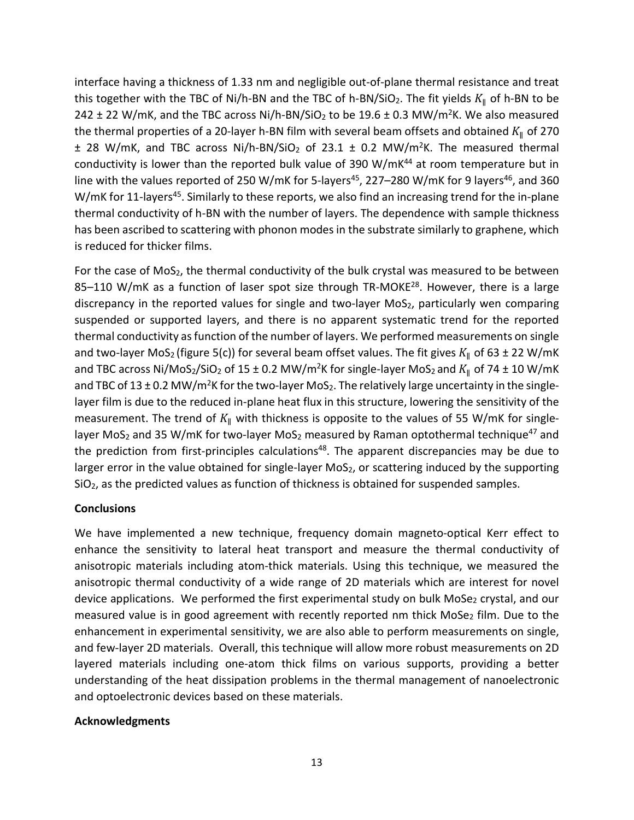interface having a thickness of 1.33 nm and negligible out-of-plane thermal resistance and treat this together with the TBC of Ni/h-BN and the TBC of h-BN/SiO<sub>2</sub>. The fit yields  $K_{\parallel}$  of h-BN to be 242  $\pm$  22 W/mK, and the TBC across Ni/h-BN/SiO<sub>2</sub> to be 19.6  $\pm$  0.3 MW/m<sup>2</sup>K. We also measured the thermal properties of a 20-layer h-BN film with several beam offsets and obtained  $K_{\parallel}$  of 270  $\pm$  28 W/mK, and TBC across Ni/h-BN/SiO<sub>2</sub> of 23.1  $\pm$  0.2 MW/m<sup>2</sup>K. The measured thermal conductivity is lower than the reported bulk value of 390 W/mK $^{44}$  at room temperature but in line with the values reported of 250 W/mK for 5-layers<sup>45</sup>, 227–280 W/mK for 9 layers<sup>46</sup>, and 360 W/mK for 11-layers<sup>45</sup>. Similarly to these reports, we also find an increasing trend for the in-plane thermal conductivity of h-BN with the number of layers. The dependence with sample thickness has been ascribed to scattering with phonon modes in the substrate similarly to graphene, which is reduced for thicker films.

For the case of MoS<sub>2</sub>, the thermal conductivity of the bulk crystal was measured to be between 85-110 W/mK as a function of laser spot size through TR-MOKE<sup>28</sup>. However, there is a large discrepancy in the reported values for single and two-layer MoS<sub>2</sub>, particularly wen comparing suspended or supported layers, and there is no apparent systematic trend for the reported thermal conductivity as function of the number of layers. We performed measurements on single and two-layer MoS<sub>2</sub> (figure 5(c)) for several beam offset values. The fit gives  $K_{\parallel}$  of 63 ± 22 W/mK and TBC across Ni/MoS<sub>2</sub>/SiO<sub>2</sub> of 15 ± 0.2 MW/m<sup>2</sup>K for single-layer MoS<sub>2</sub> and  $K_{\parallel}$  of 74 ± 10 W/mK and TBC of 13  $\pm$  0.2 MW/m<sup>2</sup>K for the two-layer MoS<sub>2</sub>. The relatively large uncertainty in the singlelayer film is due to the reduced in-plane heat flux in this structure, lowering the sensitivity of the measurement. The trend of  $K_{\parallel}$  with thickness is opposite to the values of 55 W/mK for singlelayer MoS<sub>2</sub> and 35 W/mK for two-layer MoS<sub>2</sub> measured by Raman optothermal technique<sup>47</sup> and the prediction from first-principles calculations<sup>48</sup>. The apparent discrepancies may be due to larger error in the value obtained for single-layer MoS<sub>2</sub>, or scattering induced by the supporting SiO<sub>2</sub>, as the predicted values as function of thickness is obtained for suspended samples.

# **Conclusions**

We have implemented a new technique, frequency domain magneto-optical Kerr effect to enhance the sensitivity to lateral heat transport and measure the thermal conductivity of anisotropic materials including atom-thick materials. Using this technique, we measured the anisotropic thermal conductivity of a wide range of 2D materials which are interest for novel device applications. We performed the first experimental study on bulk MoSe<sub>2</sub> crystal, and our measured value is in good agreement with recently reported nm thick MoSe<sub>2</sub> film. Due to the enhancement in experimental sensitivity, we are also able to perform measurements on single, and few-layer 2D materials. Overall, this technique will allow more robust measurements on 2D layered materials including one-atom thick films on various supports, providing a better understanding of the heat dissipation problems in the thermal management of nanoelectronic and optoelectronic devices based on these materials.

#### **Acknowledgments**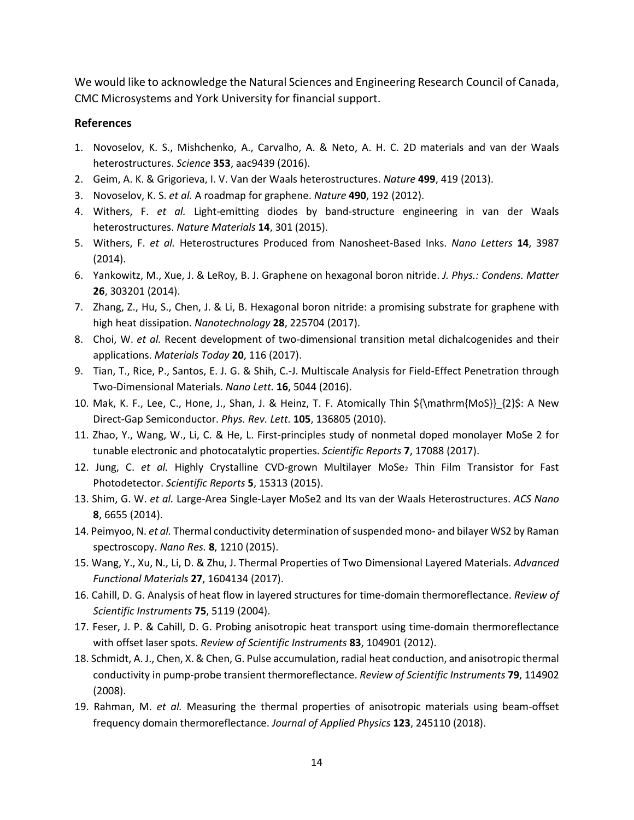We would like to acknowledge the Natural Sciences and Engineering Research Council of Canada, CMC Microsystems and York University for financial support.

# **References**

- 1. Novoselov, K. S., Mishchenko, A., Carvalho, A. & Neto, A. H. C. 2D materials and van der Waals heterostructures. *Science* **353**, aac9439 (2016).
- 2. Geim, A. K. & Grigorieva, I. V. Van der Waals heterostructures. *Nature* **499**, 419 (2013).
- 3. Novoselov, K. S. *et al.* A roadmap for graphene. *Nature* **490**, 192 (2012).
- 4. Withers, F. *et al.* Light-emitting diodes by band-structure engineering in van der Waals heterostructures. *Nature Materials* **14**, 301 (2015).
- 5. Withers, F. *et al.* Heterostructures Produced from Nanosheet-Based Inks. *Nano Letters* **14**, 3987 (2014).
- 6. Yankowitz, M., Xue, J. & LeRoy, B. J. Graphene on hexagonal boron nitride. *J. Phys.: Condens. Matter* **26**, 303201 (2014).
- 7. Zhang, Z., Hu, S., Chen, J. & Li, B. Hexagonal boron nitride: a promising substrate for graphene with high heat dissipation. *Nanotechnology* **28**, 225704 (2017).
- 8. Choi, W. *et al.* Recent development of two-dimensional transition metal dichalcogenides and their applications. *Materials Today* **20**, 116 (2017).
- 9. Tian, T., Rice, P., Santos, E. J. G. & Shih, C.-J. Multiscale Analysis for Field-Effect Penetration through Two-Dimensional Materials. *Nano Lett.* **16**, 5044 (2016).
- 10. Mak, K. F., Lee, C., Hone, J., Shan, J. & Heinz, T. F. Atomically Thin \${\mathrm{MoS}}\_{2}\$: A New Direct-Gap Semiconductor. *Phys. Rev. Lett.* **105**, 136805 (2010).
- 11. Zhao, Y., Wang, W., Li, C. & He, L. First-principles study of nonmetal doped monolayer MoSe 2 for tunable electronic and photocatalytic properties. *Scientific Reports* **7**, 17088 (2017).
- 12. Jung, C. et al. Highly Crystalline CVD-grown Multilayer MoSe<sub>2</sub> Thin Film Transistor for Fast Photodetector. *Scientific Reports* **5**, 15313 (2015).
- 13. Shim, G. W. *et al.* Large-Area Single-Layer MoSe2 and Its van der Waals Heterostructures. *ACS Nano* **8**, 6655 (2014).
- 14. Peimyoo, N. *et al.* Thermal conductivity determination of suspended mono- and bilayer WS2 by Raman spectroscopy. *Nano Res.* **8**, 1210 (2015).
- 15. Wang, Y., Xu, N., Li, D. & Zhu, J. Thermal Properties of Two Dimensional Layered Materials. *Advanced Functional Materials* **27**, 1604134 (2017).
- 16. Cahill, D. G. Analysis of heat flow in layered structures for time-domain thermoreflectance. *Review of Scientific Instruments* **75**, 5119 (2004).
- 17. Feser, J. P. & Cahill, D. G. Probing anisotropic heat transport using time-domain thermoreflectance with offset laser spots. *Review of Scientific Instruments* **83**, 104901 (2012).
- 18. Schmidt, A. J., Chen, X. & Chen, G. Pulse accumulation, radial heat conduction, and anisotropic thermal conductivity in pump-probe transient thermoreflectance. *Review of Scientific Instruments* **79**, 114902 (2008).
- 19. Rahman, M. *et al.* Measuring the thermal properties of anisotropic materials using beam-offset frequency domain thermoreflectance. *Journal of Applied Physics* **123**, 245110 (2018).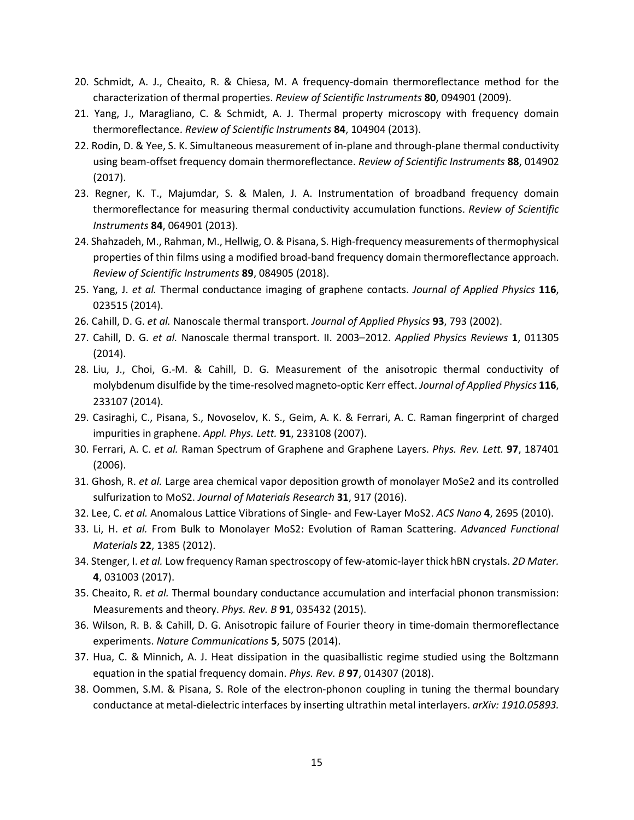- 20. Schmidt, A. J., Cheaito, R. & Chiesa, M. A frequency-domain thermoreflectance method for the characterization of thermal properties. *Review of Scientific Instruments* **80**, 094901 (2009).
- 21. Yang, J., Maragliano, C. & Schmidt, A. J. Thermal property microscopy with frequency domain thermoreflectance. *Review of Scientific Instruments* **84**, 104904 (2013).
- 22. Rodin, D. & Yee, S. K. Simultaneous measurement of in-plane and through-plane thermal conductivity using beam-offset frequency domain thermoreflectance. *Review of Scientific Instruments* **88**, 014902 (2017).
- 23. Regner, K. T., Majumdar, S. & Malen, J. A. Instrumentation of broadband frequency domain thermoreflectance for measuring thermal conductivity accumulation functions. *Review of Scientific Instruments* **84**, 064901 (2013).
- 24. Shahzadeh, M., Rahman, M., Hellwig, O. & Pisana, S. High-frequency measurements of thermophysical properties of thin films using a modified broad-band frequency domain thermoreflectance approach. *Review of Scientific Instruments* **89**, 084905 (2018).
- 25. Yang, J. *et al.* Thermal conductance imaging of graphene contacts. *Journal of Applied Physics* **116**, 023515 (2014).
- 26. Cahill, D. G. *et al.* Nanoscale thermal transport. *Journal of Applied Physics* **93**, 793 (2002).
- 27. Cahill, D. G. *et al.* Nanoscale thermal transport. II. 2003–2012. *Applied Physics Reviews* **1**, 011305 (2014).
- 28. Liu, J., Choi, G.-M. & Cahill, D. G. Measurement of the anisotropic thermal conductivity of molybdenum disulfide by the time-resolved magneto-optic Kerr effect. *Journal of Applied Physics* **116**, 233107 (2014).
- 29. Casiraghi, C., Pisana, S., Novoselov, K. S., Geim, A. K. & Ferrari, A. C. Raman fingerprint of charged impurities in graphene. *Appl. Phys. Lett.* **91**, 233108 (2007).
- 30. Ferrari, A. C. *et al.* Raman Spectrum of Graphene and Graphene Layers. *Phys. Rev. Lett.* **97**, 187401 (2006).
- 31. Ghosh, R. *et al.* Large area chemical vapor deposition growth of monolayer MoSe2 and its controlled sulfurization to MoS2. *Journal of Materials Research* **31**, 917 (2016).
- 32. Lee, C. *et al.* Anomalous Lattice Vibrations of Single- and Few-Layer MoS2. *ACS Nano* **4**, 2695 (2010).
- 33. Li, H. *et al.* From Bulk to Monolayer MoS2: Evolution of Raman Scattering. *Advanced Functional Materials* **22**, 1385 (2012).
- 34. Stenger, I. *et al.* Low frequency Raman spectroscopy of few-atomic-layer thick hBN crystals. *2D Mater.* **4**, 031003 (2017).
- 35. Cheaito, R. *et al.* Thermal boundary conductance accumulation and interfacial phonon transmission: Measurements and theory. *Phys. Rev. B* **91**, 035432 (2015).
- 36. Wilson, R. B. & Cahill, D. G. Anisotropic failure of Fourier theory in time-domain thermoreflectance experiments. *Nature Communications* **5**, 5075 (2014).
- 37. Hua, C. & Minnich, A. J. Heat dissipation in the quasiballistic regime studied using the Boltzmann equation in the spatial frequency domain. *Phys. Rev. B* **97**, 014307 (2018).
- 38. Oommen, S.M. & Pisana, S. Role of the electron-phonon coupling in tuning the thermal boundary conductance at metal-dielectric interfaces by inserting ultrathin metal interlayers. *arXiv: 1910.05893.*